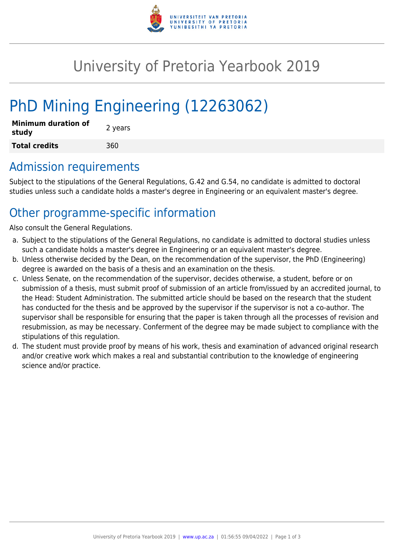

## University of Pretoria Yearbook 2019

# PhD Mining Engineering (12263062)

| <b>Minimum duration of</b><br>study | 2 years |
|-------------------------------------|---------|
| <b>Total credits</b>                | 360     |

### Admission requirements

Subject to the stipulations of the General Regulations, G.42 and G.54, no candidate is admitted to doctoral studies unless such a candidate holds a master's degree in Engineering or an equivalent master's degree.

## Other programme-specific information

Also consult the General Regulations.

- a. Subject to the stipulations of the General Regulations, no candidate is admitted to doctoral studies unless such a candidate holds a master's degree in Engineering or an equivalent master's degree.
- b. Unless otherwise decided by the Dean, on the recommendation of the supervisor, the PhD (Engineering) degree is awarded on the basis of a thesis and an examination on the thesis.
- c. Unless Senate, on the recommendation of the supervisor, decides otherwise, a student, before or on submission of a thesis, must submit proof of submission of an article from/issued by an accredited journal, to the Head: Student Administration. The submitted article should be based on the research that the student has conducted for the thesis and be approved by the supervisor if the supervisor is not a co-author. The supervisor shall be responsible for ensuring that the paper is taken through all the processes of revision and resubmission, as may be necessary. Conferment of the degree may be made subject to compliance with the stipulations of this regulation.
- d. The student must provide proof by means of his work, thesis and examination of advanced original research and/or creative work which makes a real and substantial contribution to the knowledge of engineering science and/or practice.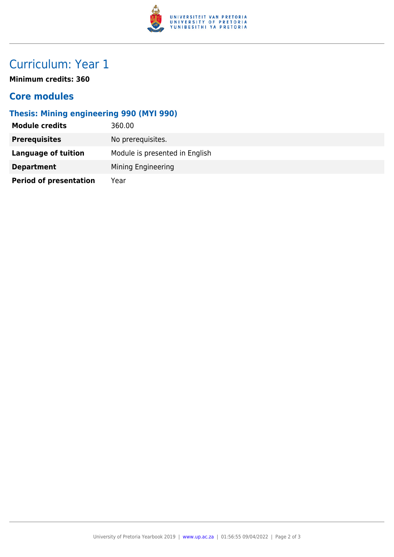

## Curriculum: Year 1

**Minimum credits: 360**

#### **Core modules**

#### **Thesis: Mining engineering 990 (MYI 990)**

| <b>Module credits</b>         | 360.00                         |
|-------------------------------|--------------------------------|
| <b>Prerequisites</b>          | No prerequisites.              |
| <b>Language of tuition</b>    | Module is presented in English |
| <b>Department</b>             | Mining Engineering             |
| <b>Period of presentation</b> | Year                           |